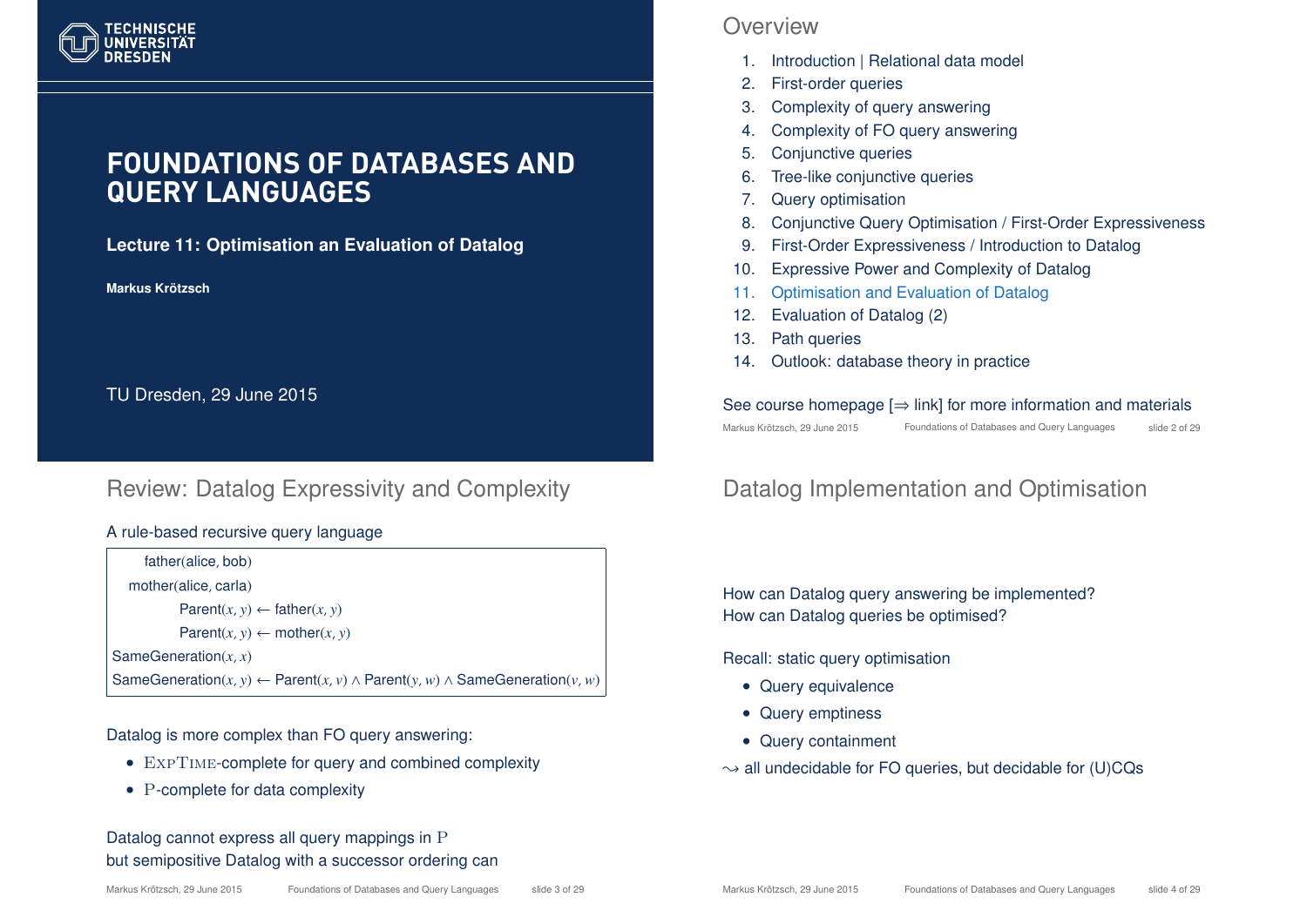

# **FOUNDATIONS OF DATABASES AND QUERY LANGUAGES**

**Lecture 11: Optimisation an Evaluation of Datalog**

#### **Markus Krotzsch ¨**

TU Dresden, 29 June 2015

# Review: Datalog Expressivity and Complexity

#### A rule-based recursive query language

father(alice, bob) mother(alice, carla) Parent $(x, y) \leftarrow$  father $(x, y)$  $Parent(x, y) \leftarrow mother(x, y)$ SameGeneration(*x*, *x*) SameGeneration(*x*, *y*) ← Parent(*x*, *y*) ∧ Parent(*y*, *w*) ∧ SameGeneration(*y*, *w*)

Datalog is more complex than FO query answering:

- EXPTIME-complete for query and combined complexity
- P-complete for data complexity

### Datalog cannot express all query mappings in P but semipositive Datalog with a successor ordering can

### **Overview**

- 1. Introduction | Relational data model
- 2. First-order queries
- 3. Complexity of query answering
- 4. Complexity of FO query answering
- 5. Conjunctive queries
- 6. Tree-like conjunctive queries
- 7. Query optimisation
- 8. Conjunctive Query Optimisation / First-Order Expressiveness
- 9. First-Order Expressiveness / Introduction to Datalog
- 10. Expressive Power and Complexity of Datalog
- 11. Optimisation and Evaluation of Datalog
- 12. Evaluation of Datalog (2)
- 13. Path queries
- 14. Outlook: database theory in practice

### See course homepage  $[\Rightarrow$  link] for more information and materials

Markus Krötzsch, 29 June 2015 Foundations of Databases and Query Languages slide 2 of 29

# Datalog Implementation and Optimisation

How can Datalog query answering be implemented? How can Datalog queries be optimised?

Recall: static query optimisation

- Query equivalence
- Query emptiness
- Query containment
- $\rightarrow$  all undecidable for FO queries, but decidable for (U)CQs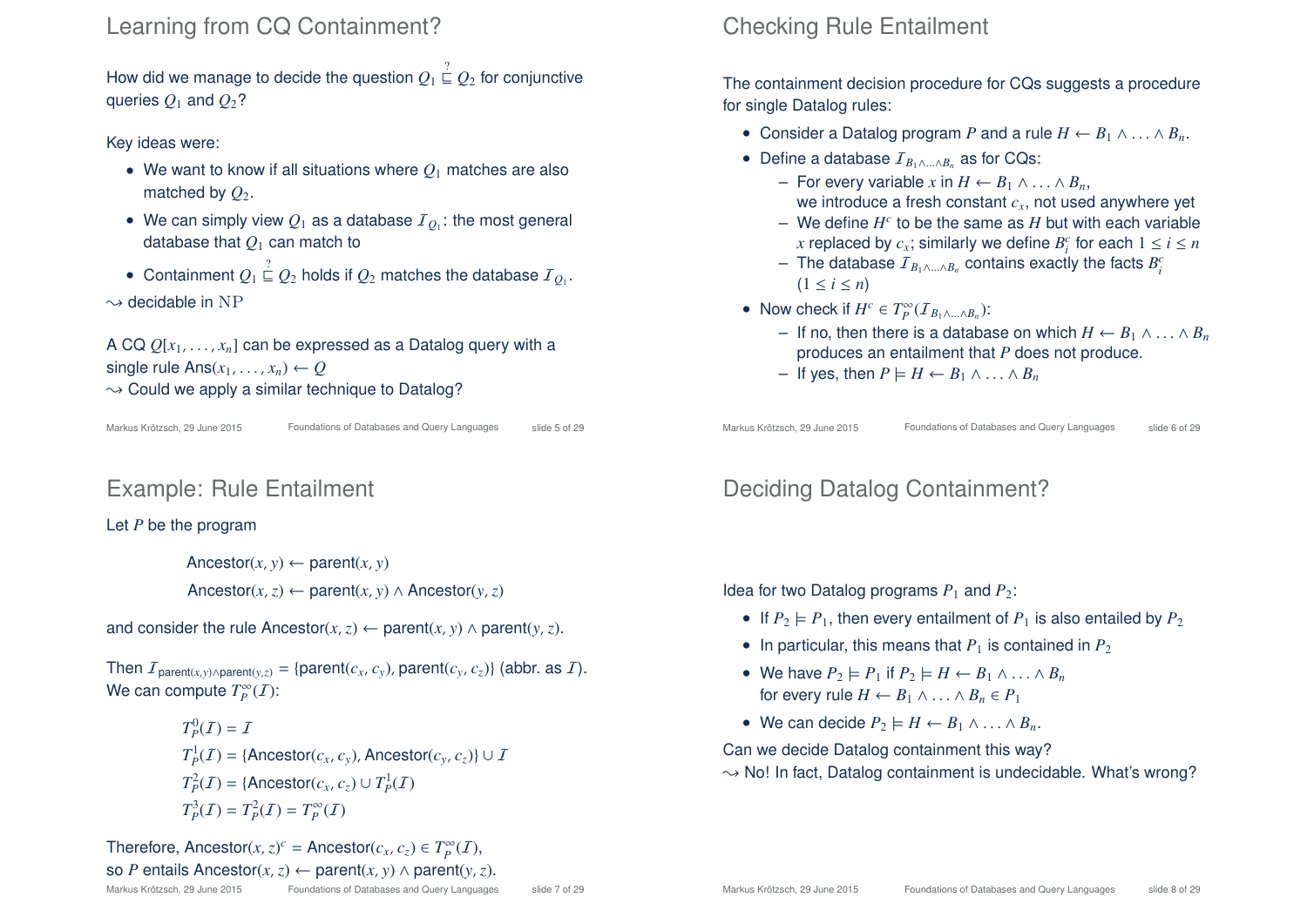### Learning from CQ Containment?

How did we manage to decide the question  $Q_1 \stackrel{?}{\sqsubseteq} Q_2$  for conjunctive queries  $Q_1$  and  $Q_2$ ?

Key ideas were:

- We want to know if all situations where  $O_1$  matches are also matched by  $Q_2$ .
- $\bullet\;$  We can simply view  $Q_1$  as a database  ${\cal I}_{Q_1}$ : the most general database that  $O<sub>1</sub>$  can match to
- Containment  $Q_1 \stackrel{?}{\sqsubseteq} Q_2$  holds if  $Q_2$  matches the database  ${\cal I}_{Q_1}.$
- $\rightarrow$  decidable in NP

A CQ  $Q[x_1, \ldots, x_n]$  can be expressed as a Datalog query with a single rule  $Ans(x_1, \ldots, x_n) \leftarrow Q$  $\rightarrow$  Could we apply a similar technique to Datalog?

Markus Krötzsch, 29 June 2015 Foundations of Databases and Query Languages slide 5 of 29

# Example: Rule Entailment

### Let *P* be the program

Ancestor( $x$ ,  $y$ )  $\leftarrow$  parent( $x$ ,  $y$ ) Ancestor(*x*, *z*) ← parent(*x*, *y*) ∧ Ancestor(*y*, *z*)

and consider the rule Ancestor(*x*,*z*) ← parent(*x*, *y*) ∧ parent(*y*, *z*).

Then  $I_{\text{parent}(x,y) \land \text{parent}(y,z)} = \{\text{parent}(c_x, c_y), \text{parent}(c_y, c_z)\}\$  (abbr. as  $I$ ). We can compute  $T_P^{\infty}(I)$ :

$$
T_p^0(\mathcal{I}) = \mathcal{I}
$$
  
\n
$$
T_p^1(\mathcal{I}) = \{\text{Ancestor}(c_x, c_y), \text{Ancestor}(c_y, c_z)\} \cup \mathcal{I}
$$
  
\n
$$
T_p^2(\mathcal{I}) = \{\text{Ancestor}(c_x, c_z) \cup T_p^1(\mathcal{I})
$$
  
\n
$$
T_p^3(\mathcal{I}) = T_p^2(\mathcal{I}) = T_p^{\infty}(\mathcal{I})
$$

Therefore, Ancestor( $x$ ,  $z$ )<sup>c</sup> = Ancestor( $c$ <sub>*x*</sub>,  $c$ <sub>*z*</sub>)  $\in T_P^{\infty}(I)$ , so *P* entails Ancestor(*x*, *z*) ← parent(*x*, *y*) ∧ parent(*y*, *z*).<br>Markus Krötzsch, 29 June 2015 Foundations of Databases and Query Language Foundations of Databases and Query Languages slide 7 of 29

# Checking Rule Entailment

The containment decision procedure for CQs suggests a procedure for single Datalog rules:

- Consider a Datalog program *P* and a rule  $H \leftarrow B_1 \wedge \ldots \wedge B_n$ .
- Define a database I*<sup>B</sup>*1∧...∧*B<sup>n</sup>* as for CQs:
	- For every variable *x* in *H* ← *B*<sup>1</sup> ∧ . . . ∧ *Bn*, we introduce a fresh constant *cx*, not used anywhere yet
	- $-$  We define  $H^c$  to be the same as  $H$  but with each variable *x* replaced by  $c_x$ ; similarly we define  $B_i^c$  for each  $1 \le i \le n$
	- $-$  The database  $I_{B_1 \wedge ... \wedge B_n}$  contains exactly the facts  $B_i^c$  $(1 \leq i \leq n)$
- Now check if  $H^c \in T_P^{\infty}(I_{B_1 \wedge \ldots \wedge B_n})$ :
	- If no, then there is a database on which *H* ← *B*<sup>1</sup> ∧ . . . ∧ *B<sup>n</sup>* produces an entailment that *P* does not produce.
	- $-$  If yes, then  $P$   $\models H ← B_1 ∧ … ∧ B_n$

Markus Krötzsch, 29 June 2015 Foundations of Databases and Query Languages slide 6 of 29

# Deciding Datalog Containment?

Idea for two Datalog programs  $P_1$  and  $P_2$ :

- If  $P_2 \models P_1$ , then every entailment of  $P_1$  is also entailed by  $P_2$
- In particular, this means that  $P_1$  is contained in  $P_2$
- We have  $P_2 \models P_1$  if  $P_2 \models H \leftarrow B_1 \land \dots \land B_n$ for every rule  $H \leftarrow B_1 \wedge \ldots \wedge B_n \in P_1$
- We can decide  $P_2 \models H \leftarrow B_1 \land \ldots \land B_n$ .

Can we decide Datalog containment this way?  $\rightarrow$  No! In fact, Datalog containment is undecidable. What's wrong?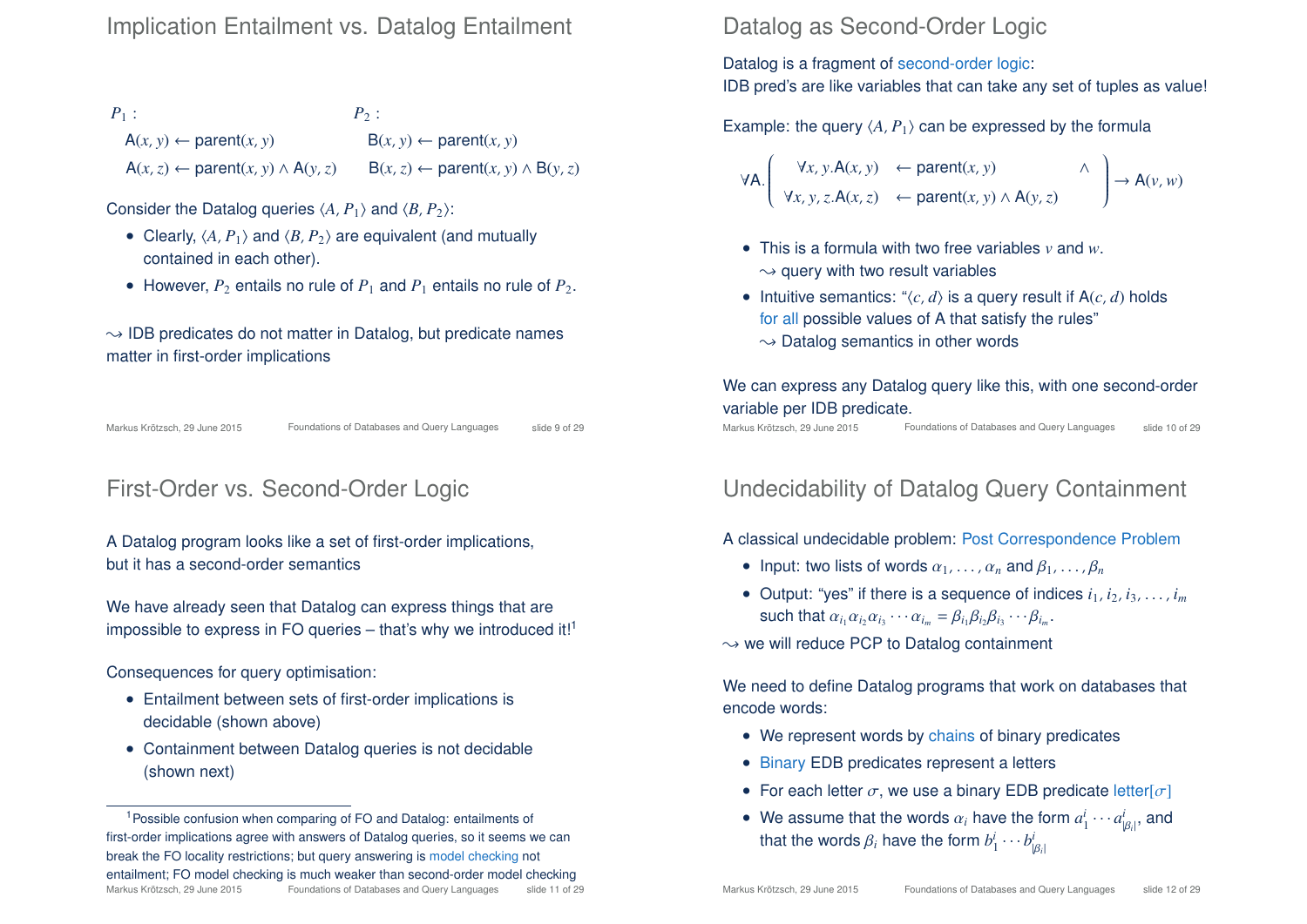$P_1$  :  $P_2$  :  $A(x, y) \leftarrow \text{parent}(x, y)$  B $(x, y) \leftarrow \text{parent}(x, y)$  $A(x, z) \leftarrow$  parent $(x, y) \wedge A(y, z)$  B $(x, z) \leftarrow$  parent $(x, y) \wedge B(y, z)$ 

Consider the Datalog queries  $\langle A, P_1 \rangle$  and  $\langle B, P_2 \rangle$ :

- Clearly,  $\langle A, P_1 \rangle$  and  $\langle B, P_2 \rangle$  are equivalent (and mutually contained in each other).
- However,  $P_2$  entails no rule of  $P_1$  and  $P_1$  entails no rule of  $P_2$ .

 $\rightarrow$  IDB predicates do not matter in Datalog, but predicate names matter in first-order implications

Markus Krötzsch, 29 June 2015 Foundations of Databases and Query Languages slide 9 of 29

# First-Order vs. Second-Order Logic

A Datalog program looks like a set of first-order implications, but it has a second-order semantics

We have already seen that Datalog can express things that are impossible to express in FO queries  $-$  that's why we introduced it!<sup>1</sup>

Consequences for query optimisation:

- Entailment between sets of first-order implications is decidable (shown above)
- Containment between Datalog queries is not decidable (shown next)

### Datalog as Second-Order Logic

Datalog is a fragment of second-order logic:

IDB pred's are like variables that can take any set of tuples as value!

Example: the query  $\langle A, P_1 \rangle$  can be expressed by the formula

$$
\forall A. \left( \begin{array}{ccc} \forall x, y. A(x, y) & \leftarrow \text{parent}(x, y) & \wedge \\ \forall x, y, z. A(x, z) & \leftarrow \text{parent}(x, y) \wedge A(y, z) \end{array} \right) \rightarrow A(v, w)
$$

- This is a formula with two free variables *v* and *w*.  $\rightarrow$  query with two result variables
- Intuitive semantics: " $\langle c, d \rangle$  is a query result if A( $c$ , *d*) holds for all possible values of A that satisfy the rules"  $\rightarrow$  Datalog semantics in other words

### We can express any Datalog query like this, with one second-order variable per IDB predicate.

Markus Krötzsch, 29 June 2015 Foundations of Databases and Query Languages slide 10 of 29

# Undecidability of Datalog Query Containment

A classical undecidable problem: Post Correspondence Problem

- Input: two lists of words  $\alpha_1, \ldots, \alpha_n$  and  $\beta_1, \ldots, \beta_n$
- Output: "yes" if there is a sequence of indices  $i_1, i_2, i_3, \ldots, i_m$ such that  $\alpha_{i_1}\alpha_{i_2}\alpha_{i_3}\cdots\alpha_{i_m}=\beta_{i_1}\beta_{i_2}\beta_{i_3}\cdots\beta_{i_m}$ .

 $\rightarrow$  we will reduce PCP to Datalog containment

We need to define Datalog programs that work on databases that encode words:

- We represent words by chains of binary predicates
- Binary EDB predicates represent a letters
- For each letter  $\sigma$ , we use a binary EDB predicate letter  $[\sigma]$
- We assume that the words  $\alpha_i$  have the form  $a_1^i \cdots a_{|\beta_i|}^i$ , and | that the words  $\beta_i$  have the form  $b_1^i \cdots b_{|\beta_i|}^i$ |

<sup>&</sup>lt;sup>1</sup> Possible confusion when comparing of FO and Datalog: entailments of first-order implications agree with answers of Datalog queries, so it seems we can break the FO locality restrictions; but query answering is model checking not entailment; FO model checking is much weaker than second-order model checking Markus Krötzsch, 29 June 2015 Foundations of Databases and Query Languages slide 11 of 29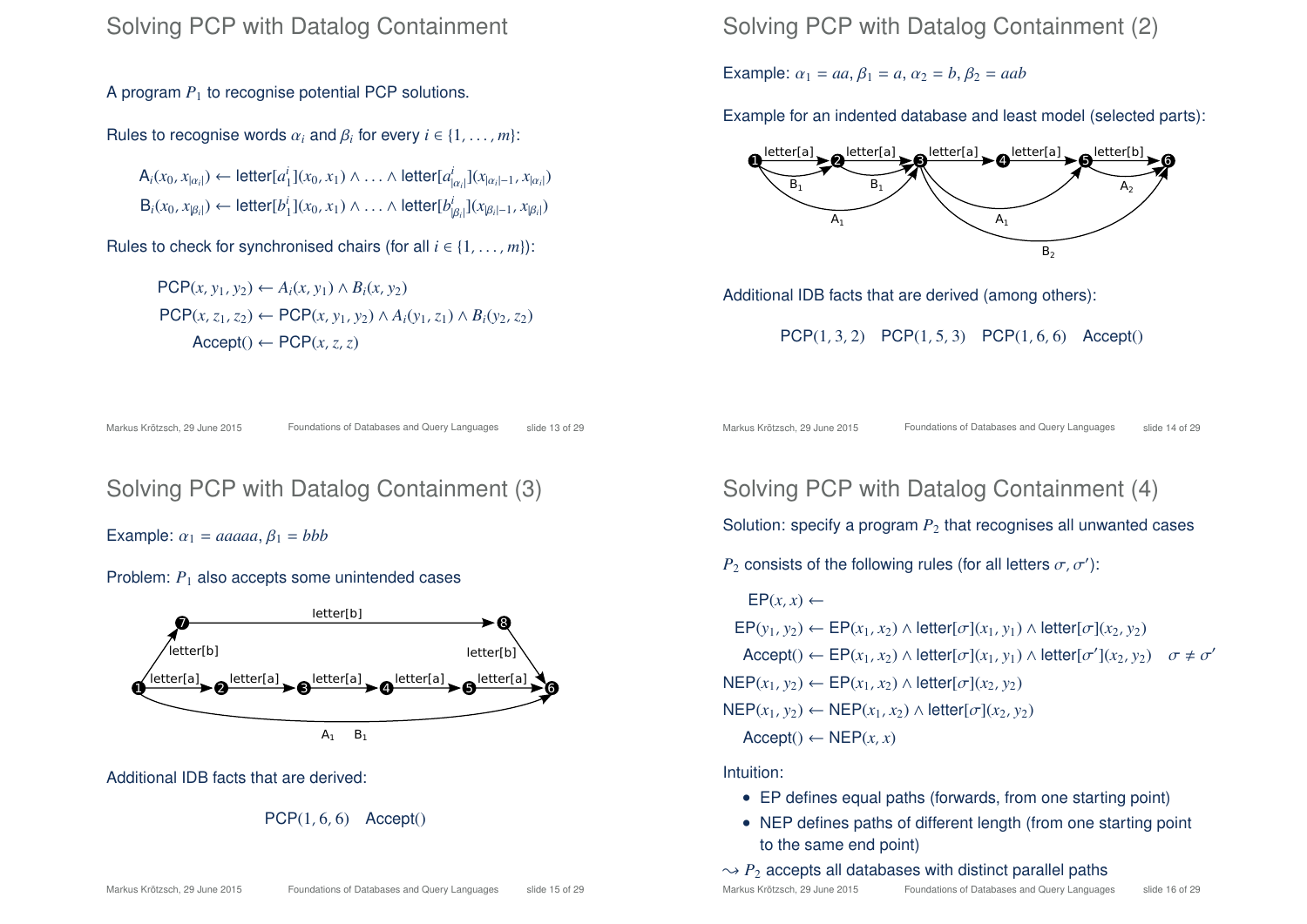### Solving PCP with Datalog Containment

A program  $P_1$  to recognise potential PCP solutions.

Rules to recognise words  $\alpha_i$  and  $\beta_i$  for every  $i \in \{1, \ldots, m\}$ :

 $\mathsf{A}_i(x_0, x_{|\alpha_i|}) \leftarrow \mathsf{letter}[a_1^i](x_0, x_1) \wedge \ldots \wedge \mathsf{letter}[a_{|\alpha_i|}^i](x_{|\alpha_i|-1}, x_{|\alpha_i|})$  $B_i(x_0, x_{\beta_i}) \leftarrow$  letter $[b_1^i](x_0, x_1) \wedge \ldots \wedge$  letter $[b_{|\beta_i|}^i](x_{|\beta_i|-1}, x_{|\beta_i|})$ 

Rules to check for synchronised chairs (for all  $i \in \{1, \ldots, m\}$ ):

PCP(*x*, *y*1, *y*2) ← *Ai*(*x*, *y*1) ∧ *Bi*(*x*, *y*2) PCP(*x*, *z*<sub>1</sub>, *z*<sub>2</sub>) ← PCP(*x*, *y*<sub>1</sub>, *y*<sub>2</sub>) ∧ *A*<sub>*i*</sub>(*y*<sub>1</sub>, *z*<sub>1</sub>) ∧ *B*<sub>*i*</sub>(*y*<sub>2</sub>, *z*<sub>2</sub>)  $Accept() \leftarrow PCP(x, z, z)$ 

Markus Krötzsch, 29 June 2015 Foundations of Databases and Query Languages slide 13 of 29

# Solving PCP with Datalog Containment (3)

Example:  $\alpha_1 = aaaaa, \beta_1 = bbb$ 

#### Problem:  $P_1$  also accepts some unintended cases



Additional IDB facts that are derived:



### Solving PCP with Datalog Containment (2)

Example:  $\alpha_1 = aa, \beta_1 = a, \alpha_2 = b, \beta_2 = aab$ 

Example for an indented database and least model (selected parts):



Additional IDB facts that are derived (among others):

PCP(1, 3, 2) PCP(1, 5, 3) PCP(1, 6, 6) Accept()

Markus Krötzsch, 29 June 2015 Foundations of Databases and Query Languages slide 14 of 29

# Solving PCP with Datalog Containment (4)

Solution: specify a program  $P_2$  that recognises all unwanted cases

 $P_2$  consists of the following rules (for all letters  $\sigma$ ,  $\sigma'$ ):

 $EP(x, x) \leftarrow$  $EP(y_1, y_2) \leftarrow EP(x_1, x_2) \wedge \text{letter}[\sigma](x_1, y_1) \wedge \text{letter}[\sigma](x_2, y_2)$  $\mathsf{Accept}() \leftarrow \mathsf{EP}(x_1, x_2) \land \mathsf{letter}[\sigma](x_1, y_1) \land \mathsf{letter}[\sigma'](x_2, y_2) \quad \sigma \neq \sigma'$ NEP(*x*1, *y*2) ← EP(*x*1, *x*2) ∧ letter[σ](*x*2, *y*2)  $NEP(x_1, y_2) \leftarrow NEP(x_1, x_2) \wedge letter[\sigma](x_2, y_2)$  $Accept() \leftarrow NEP(x, x)$ 

Intuition:

- EP defines equal paths (forwards, from one starting point)
- NEP defines paths of different length (from one starting point to the same end point)

 $\rightarrow$  *P*<sub>2</sub> accepts all databases with distinct parallel paths

Markus Krötzsch, 29 June 2015 Foundations of Databases and Query Languages slide 16 of 29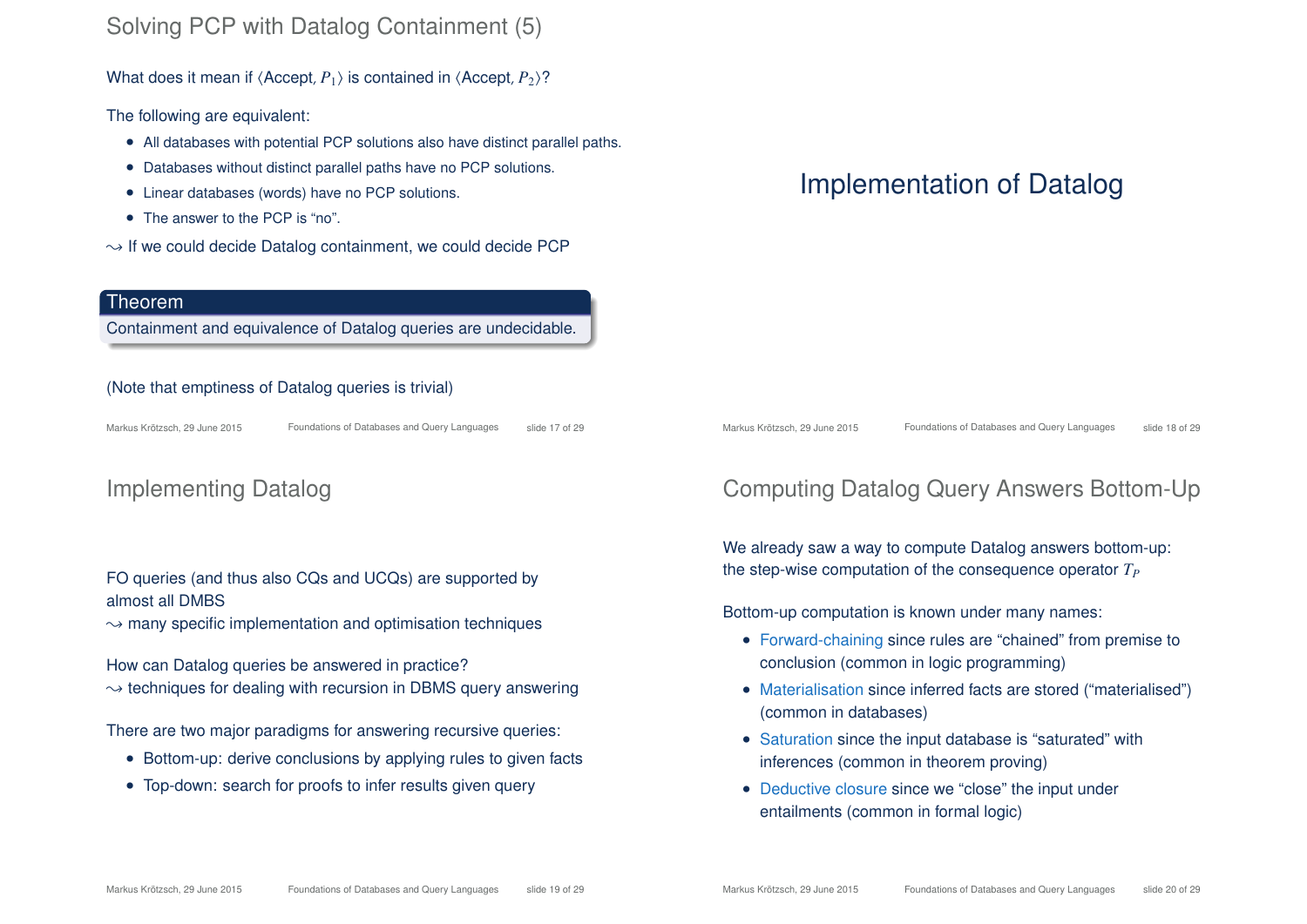### Solving PCP with Datalog Containment (5)

What does it mean if  $\langle$  Accept,  $P_1$  is contained in  $\langle$  Accept,  $P_2$ <sup>2</sup>?

The following are equivalent:

- All databases with potential PCP solutions also have distinct parallel paths.
- Databases without distinct parallel paths have no PCP solutions.
- Linear databases (words) have no PCP solutions.
- The answer to the PCP is "no"

 $\rightarrow$  If we could decide Datalog containment, we could decide PCP

#### Theorem

Containment and equivalence of Datalog queries are undecidable.

#### (Note that emptiness of Datalog queries is trivial)

Markus Krötzsch, 29 June 2015 Foundations of Databases and Query Languages slide 17 of 29

### Implementing Datalog

#### FO queries (and thus also CQs and UCQs) are supported by almost all DMBS

 $\sim$  many specific implementation and optimisation techniques

How can Datalog queries be answered in practice?

 $\rightarrow$  techniques for dealing with recursion in DBMS query answering

There are two major paradigms for answering recursive queries:

- Bottom-up: derive conclusions by applying rules to given facts
- Top-down: search for proofs to infer results given query

# Implementation of Datalog

Markus Krötzsch, 29 June 2015 Foundations of Databases and Query Languages slide 18 of 29

# Computing Datalog Query Answers Bottom-Up

We already saw a way to compute Datalog answers bottom-up: the step-wise computation of the consequence operator *T<sup>P</sup>*

Bottom-up computation is known under many names:

- Forward-chaining since rules are "chained" from premise to conclusion (common in logic programming)
- Materialisation since inferred facts are stored ("materialised") (common in databases)
- Saturation since the input database is "saturated" with inferences (common in theorem proving)
- Deductive closure since we "close" the input under entailments (common in formal logic)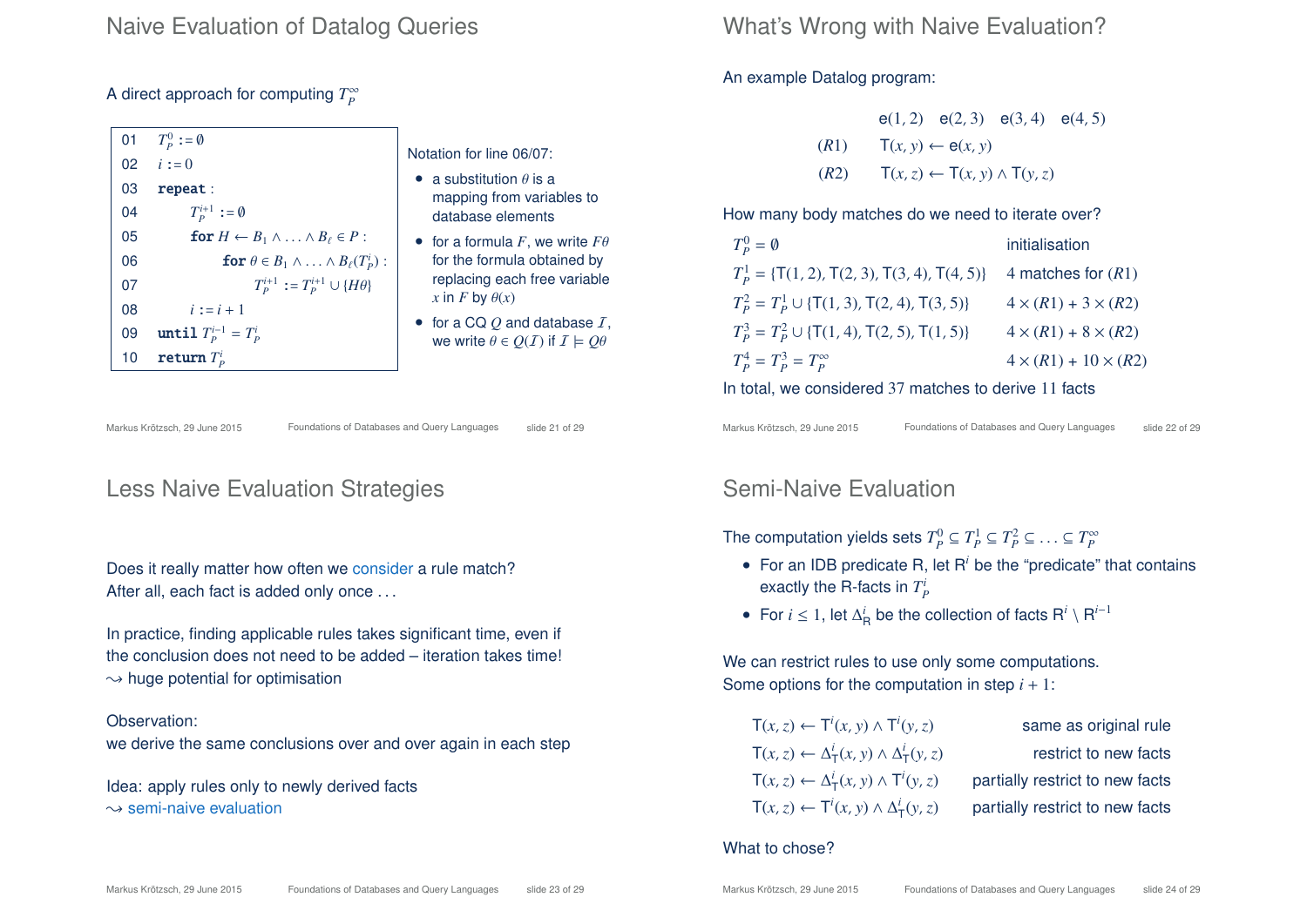### Naive Evaluation of Datalog Queries

### A direct approach for computing  $T_P^{\infty}$

| 01 | $T_p^0 := \emptyset$                                           |                          |
|----|----------------------------------------------------------------|--------------------------|
|    | 02 $i := 0$                                                    | <b>Notatio</b>           |
| 03 | repeat:                                                        | a si<br>ma               |
| 04 | $T_p^{i+1} := \emptyset$                                       | dat                      |
| 05 | for $H \leftarrow B_1 \wedge \ldots \wedge B_\ell \in P$ :     | $\bullet$ for            |
| 06 | <b>for</b> $\theta \in B_1 \wedge \ldots \wedge B_\ell(T_p)$ : | for $\cdot$              |
| 07 | $T_p^{i+1} := T_p^{i+1} \cup \{H\theta\}$                      | rep<br>$\overline{x}$ in |
| 08 | $i := i + 1$                                                   |                          |
| 09 | until $T_P^{i-1} = T_P^i$                                      | for<br>we                |
| 10 | return $T_p^i$                                                 |                          |

In for line  $06/07$ :

- ubstitution  $\theta$  is a pping from variables to abase elements
- a formula  $F$ , we write  $F\theta$ the formula obtained by lacing each free variable *F* by  $\theta(x)$
- a CQ  $O$  and database  $I$ , write  $\theta \in O(I)$  if  $I \models O\theta$

Markus Krötzsch, 29 June 2015 Foundations of Databases and Query Languages slide 21 of 29

### Less Naive Evaluation Strategies

Does it really matter how often we consider a rule match? After all, each fact is added only once ...

In practice, finding applicable rules takes significant time, even if the conclusion does not need to be added – iteration takes time!  $\rightarrow$  huge potential for optimisation

#### Observation:

we derive the same conclusions over and over again in each step

Idea: apply rules only to newly derived facts  $\rightarrow$  semi-naive evaluation

What's Wrong with Naive Evaluation?

An example Datalog program:

- e(1, 2) e(2, 3) e(3, 4) e(4, 5)  $(T(R1)$   $T(x, y) \leftarrow e(x, y)$
- (*R*2) T(*x*,*z*) ← T(*x*, *y*) ∧ T(*y*,*z*)

How many body matches do we need to iterate over?

| $T_p^0 = \emptyset$                                | initialisation                   |
|----------------------------------------------------|----------------------------------|
| $T_p^1 = \{T(1, 2), T(2, 3), T(3, 4), T(4, 5)\}\$  | 4 matches for $(R1)$             |
| $T_p^2 = T_p^1 \cup \{T(1, 3), T(2, 4), T(3, 5)\}$ | $4 \times (R1) + 3 \times (R2)$  |
| $T_p^3 = T_p^2 \cup \{T(1, 4), T(2, 5), T(1, 5)\}$ | $4 \times (R1) + 8 \times (R2)$  |
| $T_p^4 = T_p^3 = T_p^{\infty}$                     | $4 \times (R1) + 10 \times (R2)$ |
|                                                    |                                  |

In total, we considered 37 matches to derive 11 facts

Markus Krötzsch, 29 June 2015 Foundations of Databases and Query Languages slide 22 of 29

### Semi-Naive Evaluation

The computation yields sets  $T_P^0 \subseteq T_P^1 \subseteq T_P^2 \subseteq \ldots \subseteq T_P^{\infty}$ 

- For an IDB predicate R, let R*<sup>i</sup>* be the "predicate" that contains exactly the R-facts in  $T_P^i$
- For  $i \leq 1$ , let  $\Delta_R^i$  be the collection of facts  $R^i \setminus R^{i-1}$

We can restrict rules to use only some computations. Some options for the computation in step *i* + 1:

| $T(x, z) \leftarrow T^i(x, y) \wedge T^i(y, z)$                                       | same as original rule           |
|---------------------------------------------------------------------------------------|---------------------------------|
| $\mathsf{T}(x,z) \leftarrow \Delta^i_\mathsf{T}(x,y) \wedge \Delta^i_\mathsf{T}(y,z)$ | restrict to new facts           |
| $T(x, z) \leftarrow \Delta^i_\tau(x, y) \wedge T^i(y, z)$                             | partially restrict to new facts |
| $T(x, z) \leftarrow T^i(x, y) \wedge \Delta^i_\tau(y, z)$                             | partially restrict to new facts |

#### What to chose?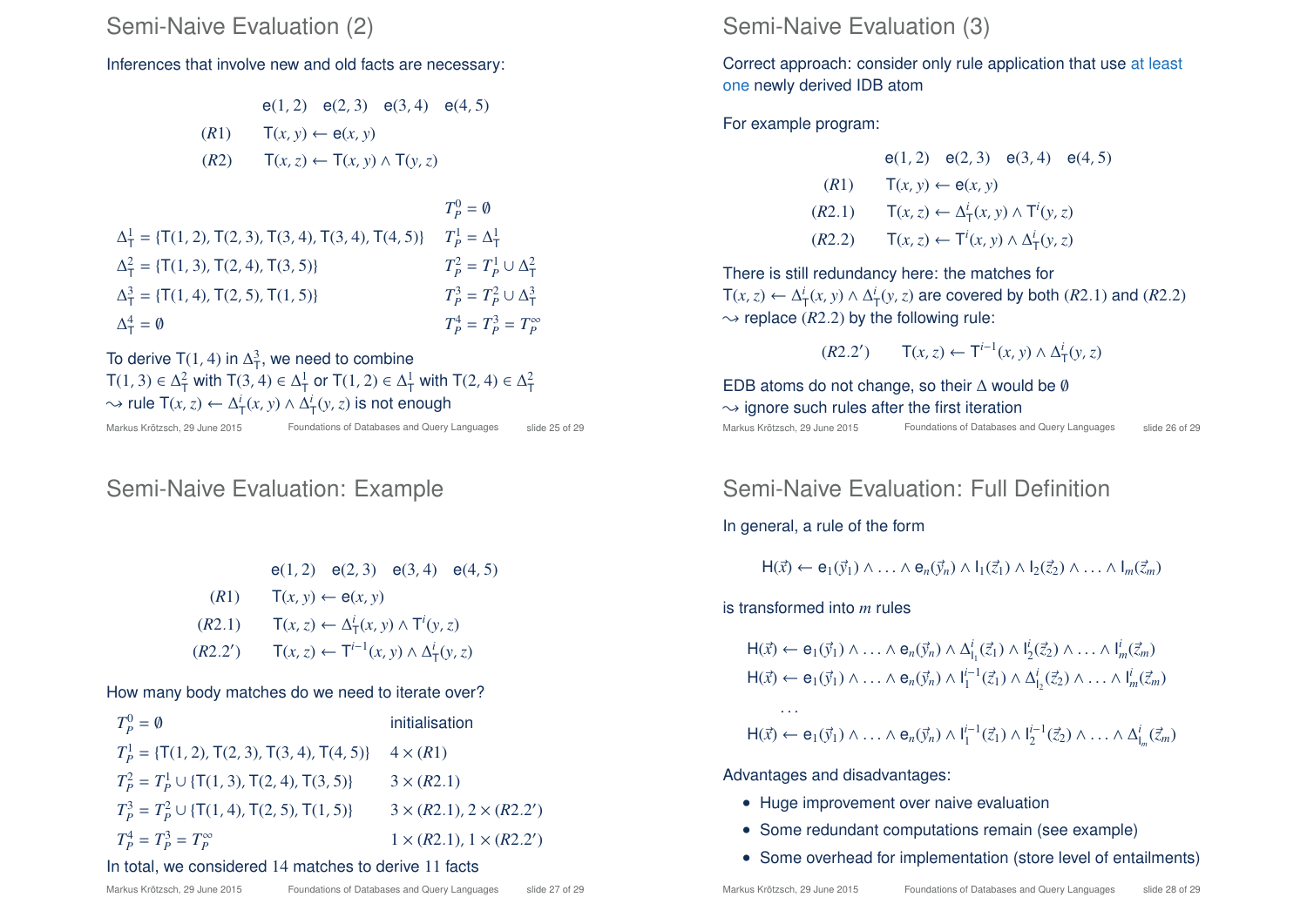### Inferences that involve new and old facts are necessary:

$$
e(1, 2) e(2, 3) e(3, 4) e(4, 5)
$$
  
(R1) T(x, y) ← e(x, y)  
(R2) T(x, z) ← T(x, y) ∧ T(y, z)

|                                                            | $T_p^0 = \emptyset$                |
|------------------------------------------------------------|------------------------------------|
| $\Delta^1$ = {T(1, 2), T(2, 3), T(3, 4), T(3, 4), T(4, 5)} | $T_p^1 = \Delta_\tau^1$            |
| $\Delta_{\rm T}^2 = \{T(1,3), T(2,4), T(3,5)\}\$           | $T_P^2 = T_P^1 \cup \Delta_\tau^2$ |
| $\Delta_{\rm T}^3$ = {T(1, 4), T(2, 5), T(1, 5)}           | $T_p^3 = T_p^2 \cup \Delta_T^3$    |
| $\Delta_{\rm T}^4 = \emptyset$                             | $T_p^4 = T_p^3 = T_p^{\infty}$     |

To derive T(1, 4) in  $\Delta^3$ , we need to combine T(1, 3)  $\in \Delta^2_T$  with T(3, 4)  $\in \Delta^1_T$  or T(1, 2)  $\in \Delta^1_T$  with T(2, 4)  $\in \Delta^2_T$  $\sim$  rule T(*x*, *z*) ←  $\Delta^i$ <sub>T</sub>(*x*, *y*) ∧  $\Delta^i$ <sub>T</sub>(*y*, *z*) is not enough Markus Krötzsch, 29 June 2015 Foundations of Databases and Query Languages slide 25 of 29

# Semi-Naive Evaluation: Example

$$
e(1, 2) e(2, 3) e(3, 4) e(4, 5)
$$
  
(R1)  $T(x, y) \leftarrow e(x, y)$   
(R2.1)  $T(x, z) \leftarrow \Delta_T^i(x, y) \wedge T^i(y, z)$   
(R2.2')  $T(x, z) \leftarrow T^{i-1}(x, y) \wedge \Delta_T^i(y, z)$ 

### How many body matches do we need to iterate over?

| $T_p^0 = \emptyset$                                | initialisation                      |
|----------------------------------------------------|-------------------------------------|
| $T_p^1$ = {T(1, 2), T(2, 3), T(3, 4), T(4, 5)}     | $4 \times (R1)$                     |
| $T_p^2 = T_p^1 \cup \{T(1, 3), T(2, 4), T(3, 5)\}$ | $3 \times (R2.1)$                   |
| $T_p^3 = T_p^2 \cup \{T(1, 4), T(2, 5), T(1, 5)\}$ | $3 \times (R2.1), 2 \times (R2.2')$ |
| $T_p^4 = T_p^3 = T_p^{\infty}$                     | $1 \times (R2.1), 1 \times (R2.2')$ |

### In total, we considered 14 matches to derive 11 facts

### Semi-Naive Evaluation (3)

Correct approach: consider only rule application that use at least one newly derived IDB atom

For example program:

\n- $$
e(1, 2) \quad e(2, 3) \quad e(3, 4) \quad e(4, 5)
$$
\n- (R1)  $T(x, y) \leftarrow e(x, y)$
\n- (R2.1)  $T(x, z) \leftarrow \Delta^i_T(x, y) \wedge T^i(y, z)$
\n- (R2.2)  $T(x, z) \leftarrow T^i(x, y) \wedge \Delta^i_T(y, z)$
\n

There is still redundancy here: the matches for T(*x*, *z*) ←  $\Delta^i$ <sub>T</sub>(*x*, *y*) ∧  $\Delta^i$ <sub>T</sub>(*y*, *z*) are covered by both (*R*2.1) and (*R*2.2)  $\rightarrow$  replace (*R*2.2) by the following rule:

 $(T(X, z)$  ←  $T^{i-1}(x, y)$  ∧  $\Delta_T^i(y, z)$ 

EDB atoms do not change, so their ∆ would be ∅  $\rightarrow$  ignore such rules after the first iteration Markus Krötzsch, 29 June 2015 Foundations of Databases and Query Languages slide 26 of 29

# Semi-Naive Evaluation: Full Definition

### In general, a rule of the form

$$
H(\vec{x}) \leftarrow e_1(\vec{y}_1) \wedge \ldots \wedge e_n(\vec{y}_n) \wedge I_1(\vec{z}_1) \wedge I_2(\vec{z}_2) \wedge \ldots \wedge I_m(\vec{z}_m)
$$

### is transformed into *m* rules

. . .

$$
H(\vec{x}) \leftarrow e_1(\vec{y}_1) \land \dots \land e_n(\vec{y}_n) \land \Delta_{l_1}^i(\vec{z}_1) \land l_2^i(\vec{z}_2) \land \dots \land l_m^i(\vec{z}_m)
$$
  
\n
$$
H(\vec{x}) \leftarrow e_1(\vec{y}_1) \land \dots \land e_n(\vec{y}_n) \land l_1^{i-1}(\vec{z}_1) \land \Delta_{l_2}^i(\vec{z}_2) \land \dots \land l_m^i(\vec{z}_m)
$$

 $H(\vec{x}) \leftarrow e_1(\vec{y}_1) \wedge \ldots \wedge e_n(\vec{y}_n) \wedge I_1^{i-1}(\vec{z}_1) \wedge I_2^{i-1}(\vec{z}_2) \wedge \ldots \wedge \Delta_I^{i}$  $I_m^l(\vec{\zeta}_m)$ 

Advantages and disadvantages:

- Huge improvement over naive evaluation
- Some redundant computations remain (see example)
- Some overhead for implementation (store level of entailments)